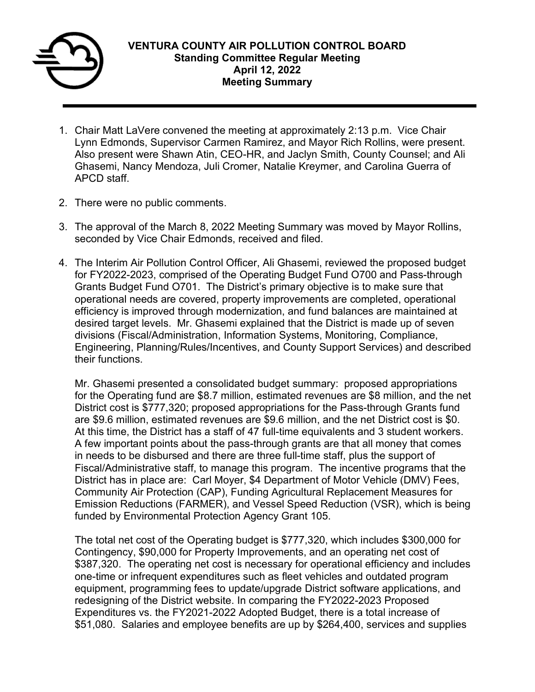

- 1. Chair Matt LaVere convened the meeting at approximately 2:13 p.m. Vice Chair Lynn Edmonds, Supervisor Carmen Ramirez, and Mayor Rich Rollins, were present. Also present were Shawn Atin, CEO-HR, and Jaclyn Smith, County Counsel; and Ali Ghasemi, Nancy Mendoza, Juli Cromer, Natalie Kreymer, and Carolina Guerra of APCD staff.
- 2. There were no public comments.
- 3. The approval of the March 8, 2022 Meeting Summary was moved by Mayor Rollins, seconded by Vice Chair Edmonds, received and filed.
- 4. The Interim Air Pollution Control Officer, Ali Ghasemi, reviewed the proposed budget for FY2022-2023, comprised of the Operating Budget Fund O700 and Pass-through Grants Budget Fund O701. The District's primary objective is to make sure that operational needs are covered, property improvements are completed, operational efficiency is improved through modernization, and fund balances are maintained at desired target levels. Mr. Ghasemi explained that the District is made up of seven divisions (Fiscal/Administration, Information Systems, Monitoring, Compliance, Engineering, Planning/Rules/Incentives, and County Support Services) and described their functions.

Mr. Ghasemi presented a consolidated budget summary: proposed appropriations for the Operating fund are \$8.7 million, estimated revenues are \$8 million, and the net District cost is \$777,320; proposed appropriations for the Pass-through Grants fund are \$9.6 million, estimated revenues are \$9.6 million, and the net District cost is \$0. At this time, the District has a staff of 47 full-time equivalents and 3 student workers. A few important points about the pass-through grants are that all money that comes in needs to be disbursed and there are three full-time staff, plus the support of Fiscal/Administrative staff, to manage this program. The incentive programs that the District has in place are: Carl Moyer, \$4 Department of Motor Vehicle (DMV) Fees, Community Air Protection (CAP), Funding Agricultural Replacement Measures for Emission Reductions (FARMER), and Vessel Speed Reduction (VSR), which is being funded by Environmental Protection Agency Grant 105.

The total net cost of the Operating budget is \$777,320, which includes \$300,000 for Contingency, \$90,000 for Property Improvements, and an operating net cost of \$387,320. The operating net cost is necessary for operational efficiency and includes one-time or infrequent expenditures such as fleet vehicles and outdated program equipment, programming fees to update/upgrade District software applications, and redesigning of the District website. In comparing the FY2022-2023 Proposed Expenditures vs. the FY2021-2022 Adopted Budget, there is a total increase of \$51,080. Salaries and employee benefits are up by \$264,400, services and supplies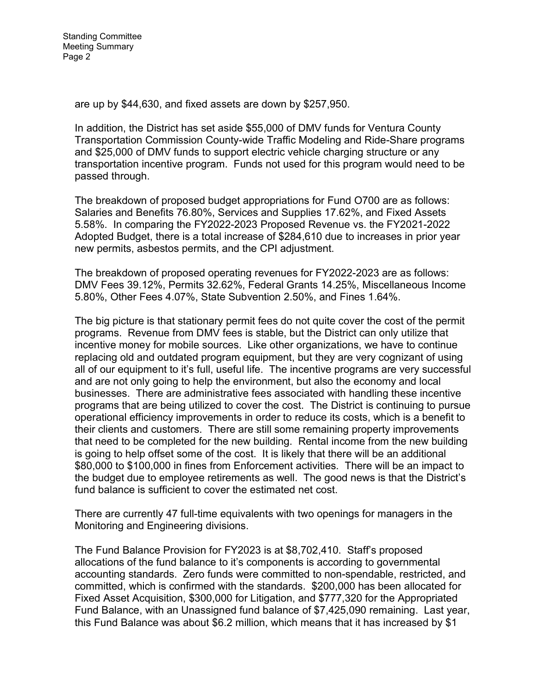are up by \$44,630, and fixed assets are down by \$257,950.

In addition, the District has set aside \$55,000 of DMV funds for Ventura County Transportation Commission County-wide Traffic Modeling and Ride-Share programs and \$25,000 of DMV funds to support electric vehicle charging structure or any transportation incentive program. Funds not used for this program would need to be passed through.

The breakdown of proposed budget appropriations for Fund O700 are as follows: Salaries and Benefits 76.80%, Services and Supplies 17.62%, and Fixed Assets 5.58%. In comparing the FY2022-2023 Proposed Revenue vs. the FY2021-2022 Adopted Budget, there is a total increase of \$284,610 due to increases in prior year new permits, asbestos permits, and the CPI adjustment.

The breakdown of proposed operating revenues for FY2022-2023 are as follows: DMV Fees 39.12%, Permits 32.62%, Federal Grants 14.25%, Miscellaneous Income 5.80%, Other Fees 4.07%, State Subvention 2.50%, and Fines 1.64%.

The big picture is that stationary permit fees do not quite cover the cost of the permit programs. Revenue from DMV fees is stable, but the District can only utilize that incentive money for mobile sources. Like other organizations, we have to continue replacing old and outdated program equipment, but they are very cognizant of using all of our equipment to it's full, useful life. The incentive programs are very successful and are not only going to help the environment, but also the economy and local businesses. There are administrative fees associated with handling these incentive programs that are being utilized to cover the cost. The District is continuing to pursue operational efficiency improvements in order to reduce its costs, which is a benefit to their clients and customers. There are still some remaining property improvements that need to be completed for the new building. Rental income from the new building is going to help offset some of the cost. It is likely that there will be an additional \$80,000 to \$100,000 in fines from Enforcement activities. There will be an impact to the budget due to employee retirements as well. The good news is that the District's fund balance is sufficient to cover the estimated net cost.

There are currently 47 full-time equivalents with two openings for managers in the Monitoring and Engineering divisions.

The Fund Balance Provision for FY2023 is at \$8,702,410. Staff's proposed allocations of the fund balance to it's components is according to governmental accounting standards. Zero funds were committed to non-spendable, restricted, and committed, which is confirmed with the standards. \$200,000 has been allocated for Fixed Asset Acquisition, \$300,000 for Litigation, and \$777,320 for the Appropriated Fund Balance, with an Unassigned fund balance of \$7,425,090 remaining. Last year, this Fund Balance was about \$6.2 million, which means that it has increased by \$1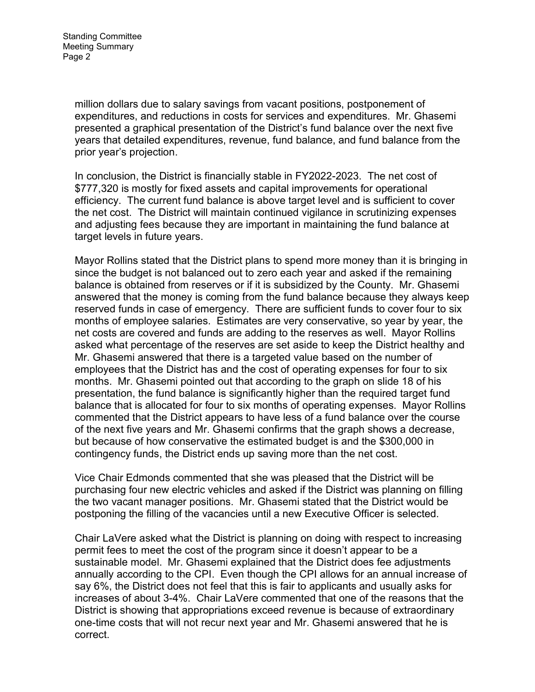Standing Committee Meeting Summary Page 2

> million dollars due to salary savings from vacant positions, postponement of expenditures, and reductions in costs for services and expenditures. Mr. Ghasemi presented a graphical presentation of the District's fund balance over the next five years that detailed expenditures, revenue, fund balance, and fund balance from the prior year's projection.

In conclusion, the District is financially stable in FY2022-2023. The net cost of \$777,320 is mostly for fixed assets and capital improvements for operational efficiency. The current fund balance is above target level and is sufficient to cover the net cost. The District will maintain continued vigilance in scrutinizing expenses and adjusting fees because they are important in maintaining the fund balance at target levels in future years.

Mayor Rollins stated that the District plans to spend more money than it is bringing in since the budget is not balanced out to zero each year and asked if the remaining balance is obtained from reserves or if it is subsidized by the County. Mr. Ghasemi answered that the money is coming from the fund balance because they always keep reserved funds in case of emergency. There are sufficient funds to cover four to six months of employee salaries. Estimates are very conservative, so year by year, the net costs are covered and funds are adding to the reserves as well. Mayor Rollins asked what percentage of the reserves are set aside to keep the District healthy and Mr. Ghasemi answered that there is a targeted value based on the number of employees that the District has and the cost of operating expenses for four to six months. Mr. Ghasemi pointed out that according to the graph on slide 18 of his presentation, the fund balance is significantly higher than the required target fund balance that is allocated for four to six months of operating expenses. Mayor Rollins commented that the District appears to have less of a fund balance over the course of the next five years and Mr. Ghasemi confirms that the graph shows a decrease, but because of how conservative the estimated budget is and the \$300,000 in contingency funds, the District ends up saving more than the net cost.

Vice Chair Edmonds commented that she was pleased that the District will be purchasing four new electric vehicles and asked if the District was planning on filling the two vacant manager positions. Mr. Ghasemi stated that the District would be postponing the filling of the vacancies until a new Executive Officer is selected.

Chair LaVere asked what the District is planning on doing with respect to increasing permit fees to meet the cost of the program since it doesn't appear to be a sustainable model. Mr. Ghasemi explained that the District does fee adjustments annually according to the CPI. Even though the CPI allows for an annual increase of say 6%, the District does not feel that this is fair to applicants and usually asks for increases of about 3-4%. Chair LaVere commented that one of the reasons that the District is showing that appropriations exceed revenue is because of extraordinary one-time costs that will not recur next year and Mr. Ghasemi answered that he is correct.